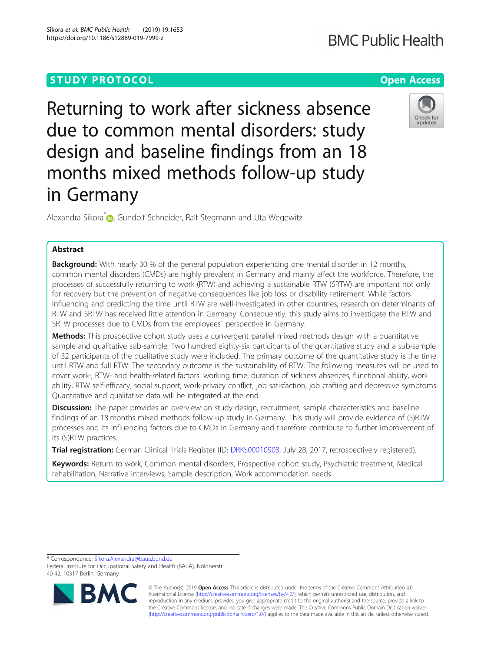Returning to work after sickness absence due to common mental disorders: study design and baseline findings from an 18 months mixed methods follow-up study in Germany

Alexandra Sikora<sup>\*</sup> <sub>(D</sub>[,](http://orcid.org/0000-0002-8670-7474) Gundolf Schneider, Ralf Stegmann and Uta Wegewitz

# Abstract

**Background:** With nearly 30 % of the general population experiencing one mental disorder in 12 months, common mental disorders (CMDs) are highly prevalent in Germany and mainly affect the workforce. Therefore, the processes of successfully returning to work (RTW) and achieving a sustainable RTW (SRTW) are important not only for recovery but the prevention of negative consequences like job loss or disability retirement. While factors influencing and predicting the time until RTW are well-investigated in other countries, research on determinants of RTW and SRTW has received little attention in Germany. Consequently, this study aims to investigate the RTW and SRTW processes due to CMDs from the employees´ perspective in Germany.

Methods: This prospective cohort study uses a convergent parallel mixed methods design with a quantitative sample and qualitative sub-sample. Two hundred eighty-six participants of the quantitative study and a sub-sample of 32 participants of the qualitative study were included. The primary outcome of the quantitative study is the time until RTW and full RTW. The secondary outcome is the sustainability of RTW. The following measures will be used to cover work-, RTW- and health-related factors: working time, duration of sickness absences, functional ability, work ability, RTW self-efficacy, social support, work-privacy conflict, job satisfaction, job crafting and depressive symptoms. Quantitative and qualitative data will be integrated at the end.

Discussion: The paper provides an overview on study design, recruitment, sample characteristics and baseline findings of an 18 months mixed methods follow-up study in Germany. This study will provide evidence of (S)RTW processes and its influencing factors due to CMDs in Germany and therefore contribute to further improvement of its (S)RTW practices.

Trial registration: German Clinical Trials Register (ID: [DRKS00010903](https://www.drks.de/drks_web/navigate.do?navigationId=trial.HTML&TRIAL_ID=DRKS00010903), July 28, 2017, retrospectively registered).

Keywords: Return to work, Common mental disorders, Prospective cohort study, Psychiatric treatment, Medical rehabilitation, Narrative interviews, Sample description, Work accommodation needs

\* Correspondence: [Sikora.Alexandra@baua.bund.de](mailto:Sikora.Alexandra@baua.bund.de)

40-42, 10317 Berlin, Germany



© The Author(s). 2019 **Open Access** This article is distributed under the terms of the Creative Commons Attribution 4.0 International License [\(http://creativecommons.org/licenses/by/4.0/](http://creativecommons.org/licenses/by/4.0/)), which permits unrestricted use, distribution, and reproduction in any medium, provided you give appropriate credit to the original author(s) and the source, provide a link to the Creative Commons license, and indicate if changes were made. The Creative Commons Public Domain Dedication waiver [\(http://creativecommons.org/publicdomain/zero/1.0/](http://creativecommons.org/publicdomain/zero/1.0/)) applies to the data made available in this article, unless otherwise stated.







Federal Institute for Occupational Safety and Health (BAuA), Nöldnerstr.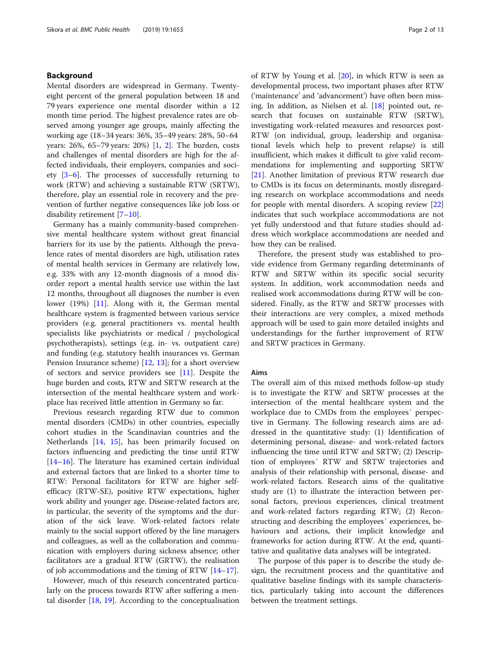## Background

Mental disorders are widespread in Germany. Twentyeight percent of the general population between 18 and 79 years experience one mental disorder within a 12 month time period. The highest prevalence rates are observed among younger age groups, mainly affecting the working age (18–34 years: 36%, 35–49 years: 28%, 50–64 years: 26%, 65–79 years: 20%) [[1](#page-11-0), [2\]](#page-11-0). The burden, costs and challenges of mental disorders are high for the affected individuals, their employers, companies and society [[3](#page-11-0)–[6](#page-11-0)]. The processes of successfully returning to work (RTW) and achieving a sustainable RTW (SRTW), therefore, play an essential role in recovery and the prevention of further negative consequences like job loss or disability retirement [\[7](#page-11-0)–[10\]](#page-11-0).

Germany has a mainly community-based comprehensive mental healthcare system without great financial barriers for its use by the patients. Although the prevalence rates of mental disorders are high, utilisation rates of mental health services in Germany are relatively low, e.g. 33% with any 12-month diagnosis of a mood disorder report a mental health service use within the last 12 months, throughout all diagnoses the number is even lower (19%) [[11\]](#page-11-0). Along with it, the German mental healthcare system is fragmented between various service providers (e.g. general practitioners vs. mental health specialists like psychiatrists or medical / psychological psychotherapists), settings (e.g. in- vs. outpatient care) and funding (e.g. statutory health insurances vs. German Pension Insurance scheme) [[12,](#page-11-0) [13\]](#page-11-0); for a short overview of sectors and service providers see [\[11](#page-11-0)]. Despite the huge burden and costs, RTW and SRTW research at the intersection of the mental healthcare system and workplace has received little attention in Germany so far.

Previous research regarding RTW due to common mental disorders (CMDs) in other countries, especially cohort studies in the Scandinavian countries and the Netherlands [[14,](#page-11-0) [15](#page-11-0)], has been primarily focused on factors influencing and predicting the time until RTW [[14](#page-11-0)–[16](#page-11-0)]. The literature has examined certain individual and external factors that are linked to a shorter time to RTW: Personal facilitators for RTW are higher selfefficacy (RTW-SE), positive RTW expectations, higher work ability and younger age. Disease-related factors are, in particular, the severity of the symptoms and the duration of the sick leave. Work-related factors relate mainly to the social support offered by the line managers and colleagues, as well as the collaboration and communication with employers during sickness absence; other facilitators are a gradual RTW (GRTW), the realisation of job accommodations and the timing of RTW  $[14-17]$  $[14-17]$  $[14-17]$  $[14-17]$ .

However, much of this research concentrated particularly on the process towards RTW after suffering a mental disorder [[18,](#page-11-0) [19](#page-11-0)]. According to the conceptualisation of RTW by Young et al. [[20](#page-11-0)], in which RTW is seen as developmental process, two important phases after RTW ('maintenance' and 'advancement') have often been missing. In addition, as Nielsen et al. [[18\]](#page-11-0) pointed out, research that focuses on sustainable RTW (SRTW), investigating work-related measures and resources post-RTW (on individual, group, leadership and organisational levels which help to prevent relapse) is still insufficient, which makes it difficult to give valid recommendations for implementing and supporting SRTW [[21\]](#page-12-0). Another limitation of previous RTW research due to CMDs is its focus on determinants, mostly disregarding research on workplace accommodations and needs for people with mental disorders. A scoping review [[22](#page-12-0)] indicates that such workplace accommodations are not yet fully understood and that future studies should address which workplace accommodations are needed and how they can be realised.

Therefore, the present study was established to provide evidence from Germany regarding determinants of RTW and SRTW within its specific social security system. In addition, work accommodation needs and realised work accommodations during RTW will be considered. Finally, as the RTW and SRTW processes with their interactions are very complex, a mixed methods approach will be used to gain more detailed insights and understandings for the further improvement of RTW and SRTW practices in Germany.

## Aims

The overall aim of this mixed methods follow-up study is to investigate the RTW and SRTW processes at the intersection of the mental healthcare system and the workplace due to CMDs from the employees´ perspective in Germany. The following research aims are addressed in the quantitative study: (1) Identification of determining personal, disease- and work-related factors influencing the time until RTW and SRTW; (2) Description of employees´ RTW and SRTW trajectories and analysis of their relationship with personal, disease- and work-related factors. Research aims of the qualitative study are (1) to illustrate the interaction between personal factors, previous experiences, clinical treatment and work-related factors regarding RTW; (2) Reconstructing and describing the employees´ experiences, behaviours and actions, their implicit knowledge and frameworks for action during RTW. At the end, quantitative and qualitative data analyses will be integrated.

The purpose of this paper is to describe the study design, the recruitment process and the quantitative and qualitative baseline findings with its sample characteristics, particularly taking into account the differences between the treatment settings.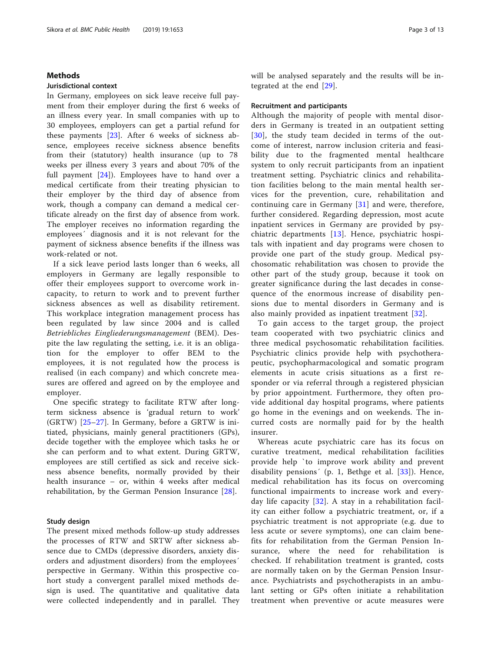## Methods

## Jurisdictional context

In Germany, employees on sick leave receive full payment from their employer during the first 6 weeks of an illness every year. In small companies with up to 30 employees, employers can get a partial refund for these payments [[23\]](#page-12-0). After 6 weeks of sickness absence, employees receive sickness absence benefits from their (statutory) health insurance (up to 78 weeks per illness every 3 years and about 70% of the full payment [\[24](#page-12-0)]). Employees have to hand over a medical certificate from their treating physician to their employer by the third day of absence from work, though a company can demand a medical certificate already on the first day of absence from work. The employer receives no information regarding the employees´ diagnosis and it is not relevant for the payment of sickness absence benefits if the illness was work-related or not.

If a sick leave period lasts longer than 6 weeks, all employers in Germany are legally responsible to offer their employees support to overcome work incapacity, to return to work and to prevent further sickness absences as well as disability retirement. This workplace integration management process has been regulated by law since 2004 and is called Betriebliches Eingliederungsmanagement (BEM). Despite the law regulating the setting, i.e. it is an obligation for the employer to offer BEM to the employees, it is not regulated how the process is realised (in each company) and which concrete measures are offered and agreed on by the employee and employer.

One specific strategy to facilitate RTW after longterm sickness absence is 'gradual return to work' (GRTW) [[25](#page-12-0)–[27\]](#page-12-0). In Germany, before a GRTW is initiated, physicians, mainly general practitioners (GPs), decide together with the employee which tasks he or she can perform and to what extent. During GRTW, employees are still certified as sick and receive sickness absence benefits, normally provided by their health insurance – or, within 4 weeks after medical rehabilitation, by the German Pension Insurance [[28\]](#page-12-0).

## Study design

The present mixed methods follow-up study addresses the processes of RTW and SRTW after sickness absence due to CMDs (depressive disorders, anxiety disorders and adjustment disorders) from the employees´ perspective in Germany. Within this prospective cohort study a convergent parallel mixed methods design is used. The quantitative and qualitative data were collected independently and in parallel. They will be analysed separately and the results will be integrated at the end [[29\]](#page-12-0).

#### Recruitment and participants

Although the majority of people with mental disorders in Germany is treated in an outpatient setting [[30](#page-12-0)], the study team decided in terms of the outcome of interest, narrow inclusion criteria and feasibility due to the fragmented mental healthcare system to only recruit participants from an inpatient treatment setting. Psychiatric clinics and rehabilitation facilities belong to the main mental health services for the prevention, cure, rehabilitation and continuing care in Germany [[31\]](#page-12-0) and were, therefore, further considered. Regarding depression, most acute inpatient services in Germany are provided by psychiatric departments [[13](#page-11-0)]. Hence, psychiatric hospitals with inpatient and day programs were chosen to provide one part of the study group. Medical psychosomatic rehabilitation was chosen to provide the other part of the study group, because it took on greater significance during the last decades in consequence of the enormous increase of disability pensions due to mental disorders in Germany and is also mainly provided as inpatient treatment [[32\]](#page-12-0).

To gain access to the target group, the project team cooperated with two psychiatric clinics and three medical psychosomatic rehabilitation facilities. Psychiatric clinics provide help with psychotherapeutic, psychopharmacological and somatic program elements in acute crisis situations as a first responder or via referral through a registered physician by prior appointment. Furthermore, they often provide additional day hospital programs, where patients go home in the evenings and on weekends. The incurred costs are normally paid for by the health insurer.

Whereas acute psychiatric care has its focus on curative treatment, medical rehabilitation facilities provide help `to improve work ability and prevent disability pensions' (p. 1, Bethge et al. [\[33\]](#page-12-0)). Hence, medical rehabilitation has its focus on overcoming functional impairments to increase work and everyday life capacity  $[32]$  $[32]$ . A stay in a rehabilitation facility can either follow a psychiatric treatment, or, if a psychiatric treatment is not appropriate (e.g. due to less acute or severe symptoms), one can claim benefits for rehabilitation from the German Pension Insurance, where the need for rehabilitation is checked. If rehabilitation treatment is granted, costs are normally taken on by the German Pension Insurance. Psychiatrists and psychotherapists in an ambulant setting or GPs often initiate a rehabilitation treatment when preventive or acute measures were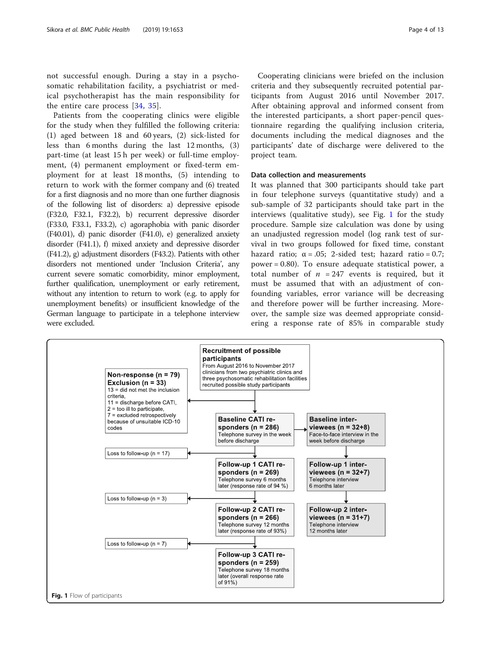<span id="page-3-0"></span>not successful enough. During a stay in a psychosomatic rehabilitation facility, a psychiatrist or medical psychotherapist has the main responsibility for the entire care process [\[34](#page-12-0), [35\]](#page-12-0).

Patients from the cooperating clinics were eligible for the study when they fulfilled the following criteria: (1) aged between 18 and 60 years, (2) sick-listed for less than 6 months during the last 12 months, (3) part-time (at least 15 h per week) or full-time employment, (4) permanent employment or fixed-term employment for at least 18 months, (5) intending to return to work with the former company and (6) treated for a first diagnosis and no more than one further diagnosis of the following list of disorders: a) depressive episode (F32.0, F32.1, F32.2), b) recurrent depressive disorder (F33.0, F33.1, F33.2), c) agoraphobia with panic disorder (F40.01), d) panic disorder (F41.0), e) generalized anxiety disorder (F41.1), f) mixed anxiety and depressive disorder (F41.2), g) adjustment disorders (F43.2). Patients with other disorders not mentioned under 'Inclusion Criteria', any current severe somatic comorbidity, minor employment, further qualification, unemployment or early retirement, without any intention to return to work (e.g. to apply for unemployment benefits) or insufficient knowledge of the German language to participate in a telephone interview were excluded.

Cooperating clinicians were briefed on the inclusion criteria and they subsequently recruited potential participants from August 2016 until November 2017. After obtaining approval and informed consent from the interested participants, a short paper-pencil questionnaire regarding the qualifying inclusion criteria, documents including the medical diagnoses and the participants' date of discharge were delivered to the project team.

## Data collection and measurements

It was planned that 300 participants should take part in four telephone surveys (quantitative study) and a sub-sample of 32 participants should take part in the interviews (qualitative study), see Fig. 1 for the study procedure. Sample size calculation was done by using an unadjusted regression model (log rank test of survival in two groups followed for fixed time, constant hazard ratio;  $\alpha = .05$ ; 2-sided test; hazard ratio = 0.7; power = 0.80). To ensure adequate statistical power, a total number of  $n = 247$  events is required, but it must be assumed that with an adjustment of confounding variables, error variance will be decreasing and therefore power will be further increasing. Moreover, the sample size was deemed appropriate considering a response rate of 85% in comparable study

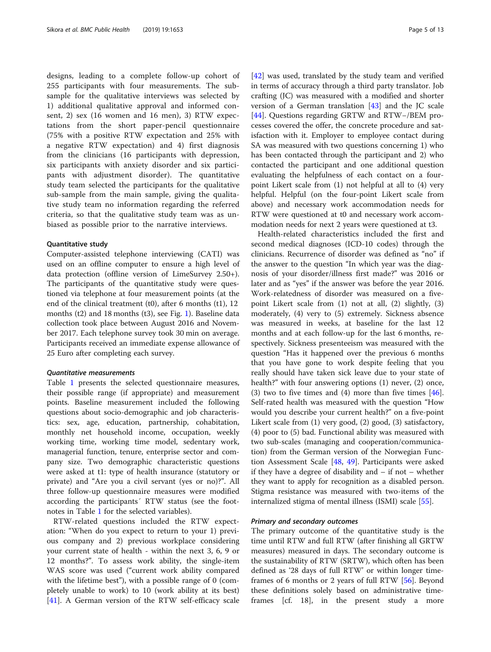designs, leading to a complete follow-up cohort of 255 participants with four measurements. The subsample for the qualitative interviews was selected by 1) additional qualitative approval and informed consent, 2) sex (16 women and 16 men), 3) RTW expectations from the short paper-pencil questionnaire (75% with a positive RTW expectation and 25% with a negative RTW expectation) and 4) first diagnosis from the clinicians (16 participants with depression, six participants with anxiety disorder and six participants with adjustment disorder). The quantitative study team selected the participants for the qualitative sub-sample from the main sample, giving the qualitative study team no information regarding the referred criteria, so that the qualitative study team was as unbiased as possible prior to the narrative interviews.

#### Quantitative study

Computer-assisted telephone interviewing (CATI) was used on an offline computer to ensure a high level of data protection (offline version of LimeSurvey 2.50+). The participants of the quantitative study were questioned via telephone at four measurement points (at the end of the clinical treatment (t0), after 6 months (t1), 12 months (t2) and 18 months (t3), see Fig. [1\)](#page-3-0). Baseline data collection took place between August 2016 and November 2017. Each telephone survey took 30 min on average. Participants received an immediate expense allowance of 25 Euro after completing each survey.

## Quantitative measurements

Table [1](#page-5-0) presents the selected questionnaire measures, their possible range (if appropriate) and measurement points. Baseline measurement included the following questions about socio-demographic and job characteristics: sex, age, education, partnership, cohabitation, monthly net household income, occupation, weekly working time, working time model, sedentary work, managerial function, tenure, enterprise sector and company size. Two demographic characteristic questions were asked at t1: type of health insurance (statutory or private) and "Are you a civil servant (yes or no)?". All three follow-up questionnaire measures were modified according the participants´ RTW status (see the footnotes in Table [1](#page-5-0) for the selected variables).

RTW-related questions included the RTW expectation: "When do you expect to return to your 1) previous company and 2) previous workplace considering your current state of health - within the next 3, 6, 9 or 12 months?". To assess work ability, the single-item WAS score was used ("current work ability compared with the lifetime best"), with a possible range of 0 (completely unable to work) to 10 (work ability at its best) [[41\]](#page-12-0). A German version of the RTW self-efficacy scale [[42\]](#page-12-0) was used, translated by the study team and verified in terms of accuracy through a third party translator. Job crafting (JC) was measured with a modified and shorter version of a German translation [[43\]](#page-12-0) and the JC scale [[44\]](#page-12-0). Questions regarding GRTW and RTW−/BEM processes covered the offer, the concrete procedure and satisfaction with it. Employer to employee contact during SA was measured with two questions concerning 1) who has been contacted through the participant and 2) who contacted the participant and one additional question evaluating the helpfulness of each contact on a fourpoint Likert scale from (1) not helpful at all to (4) very helpful. Helpful (on the four-point Likert scale from above) and necessary work accommodation needs for RTW were questioned at t0 and necessary work accommodation needs for next 2 years were questioned at t3.

Health-related characteristics included the first and second medical diagnoses (ICD-10 codes) through the clinicians. Recurrence of disorder was defined as "no" if the answer to the question "In which year was the diagnosis of your disorder/illness first made?" was 2016 or later and as "yes" if the answer was before the year 2016. Work-relatedness of disorder was measured on a fivepoint Likert scale from (1) not at all, (2) slightly, (3) moderately, (4) very to (5) extremely. Sickness absence was measured in weeks, at baseline for the last 12 months and at each follow-up for the last 6 months, respectively. Sickness presenteeism was measured with the question "Has it happened over the previous 6 months that you have gone to work despite feeling that you really should have taken sick leave due to your state of health?" with four answering options (1) never, (2) once, (3) two to five times and  $(4)$  more than five times  $[46]$  $[46]$ . Self-rated health was measured with the question "How would you describe your current health?" on a five-point Likert scale from (1) very good, (2) good, (3) satisfactory, (4) poor to (5) bad. Functional ability was measured with two sub-scales (managing and cooperation/communication) from the German version of the Norwegian Function Assessment Scale [[48,](#page-12-0) [49\]](#page-12-0). Participants were asked if they have a degree of disability and – if not – whether they want to apply for recognition as a disabled person. Stigma resistance was measured with two-items of the internalized stigma of mental illness (ISMI) scale [\[55\]](#page-12-0).

## Primary and secondary outcomes

The primary outcome of the quantitative study is the time until RTW and full RTW (after finishing all GRTW measures) measured in days. The secondary outcome is the sustainability of RTW (SRTW), which often has been defined as '28 days of full RTW' or within longer timeframes of 6 months or 2 years of full RTW [[56\]](#page-12-0). Beyond these definitions solely based on administrative timeframes [cf. 18], in the present study a more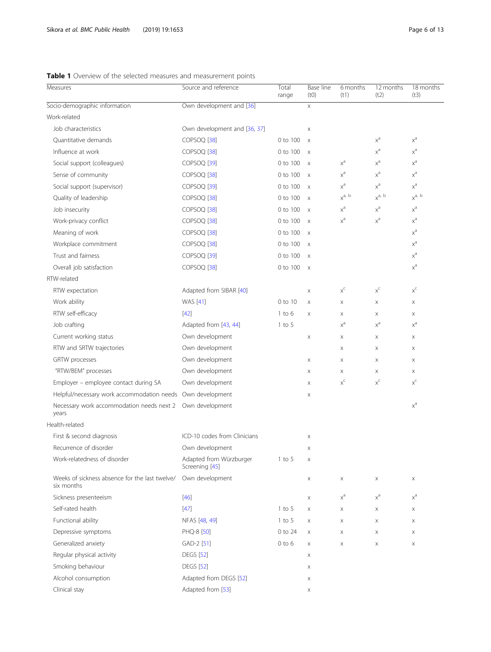# <span id="page-5-0"></span>Table 1 Overview of the selected measures and measurement points

| Measures                                                     | Source and reference                      | Total<br>range | Base line<br>(t0)         | 6 months<br>(t1)        | 12 months<br>(t2)       | 18 months<br>(t3)       |
|--------------------------------------------------------------|-------------------------------------------|----------------|---------------------------|-------------------------|-------------------------|-------------------------|
| Socio-demographic information                                | Own development and [36]                  |                | X                         |                         |                         |                         |
| Work-related                                                 |                                           |                |                           |                         |                         |                         |
| Job characteristics                                          | Own development and [36, 37]              |                | X                         |                         |                         |                         |
| Quantitative demands                                         | COPSOQ <sup>[38]</sup>                    | 0 to 100       | $\times$                  |                         | $\chi^{\text{a}}$       | $x^a$                   |
| Influence at work                                            | COPSOQ <sup>[38]</sup>                    | 0 to 100       | $\times$                  |                         | $x^a$                   | $x^a$                   |
| Social support (colleagues)                                  | COPSOQ <sup>[39]</sup>                    | 0 to 100       | $\mathsf{X}$              | $\chi^{\text{a}}$       | $\chi^{\text{a}}$       | $x^a$                   |
| Sense of community                                           | COPSOQ <sup>[38]</sup>                    | 0 to 100       | $\times$                  | $x^a$                   | $x^a$                   | $x^a$                   |
| Social support (supervisor)                                  | COPSOQ <sup>[39]</sup>                    | 0 to 100       | $\times$                  | $x^a$                   | $x^a$                   | $x^a$                   |
| Quality of leadership                                        | COPSOQ <sup>[38]</sup>                    | 0 to 100       | $\mathsf{X}$              | $x^{a, b}$              | $x^{a, b}$              | $\chi^{a,~b}$           |
| Job insecurity                                               | COPSOQ <sup>[38]</sup>                    | 0 to 100       | $\mathsf{X}$              | $\chi^{\text{a}}$       | $\chi^{\text{a}}$       | $x^{\mathrm{a}}$        |
| Work-privacy conflict                                        | COPSOQ <sup>[38]</sup>                    | 0 to 100       | $\boldsymbol{\mathsf{X}}$ | $\chi^{\text{a}}$       | $\chi^{\text{a}}$       | $x^a$                   |
| Meaning of work                                              | COPSOQ <sup>[38]</sup>                    | 0 to 100       | $\boldsymbol{\mathsf{X}}$ |                         |                         | $x^a$                   |
| Workplace commitment                                         | COPSOQ <sup>[38]</sup>                    | 0 to 100       | $\mathsf{X}$              |                         |                         | $x^a$                   |
| Trust and fairness                                           | COPSOQ <sup>[39]</sup>                    | 0 to 100       | $\times$                  |                         |                         | $x^a$                   |
| Overall job satisfaction                                     | COPSOQ <sup>[38]</sup>                    | 0 to 100       | $\mathsf{X}$              |                         |                         | $x^{\mathrm{a}}$        |
| RTW-related                                                  |                                           |                |                           |                         |                         |                         |
| RTW expectation                                              | Adapted from SIBAR [40]                   |                | X                         | $X^C$                   | $X^C$                   | $x^c$                   |
| Work ability                                                 | <b>WAS</b> [41]                           | 0 to 10        | X                         | X                       | X                       | $\mathsf X$             |
| RTW self-efficacy                                            | $[42]$                                    | $1$ to $6$     | X                         | X                       | X                       | X                       |
| Job crafting                                                 | Adapted from [43, 44]                     | $1$ to $5$     |                           | $x^a$                   | $x^a$                   | $x^a$                   |
| Current working status                                       | Own development                           |                | X                         | X                       | X                       | $\mathsf X$             |
| RTW and SRTW trajectories                                    | Own development                           |                |                           | X                       | X                       | X                       |
| GRTW processes                                               | Own development                           |                | X                         | X                       | X                       | X                       |
| "RTW/BEM" processes                                          | Own development                           |                | X                         | X                       | X                       | X                       |
| Employer - employee contact during SA                        | Own development                           |                | X                         | $\mathsf{X}^\mathsf{C}$ | $\mathsf{X}^\mathsf{C}$ | $\mathsf{x}^\mathsf{c}$ |
| Helpful/necessary work accommodation needs Own development   |                                           |                | X                         |                         |                         |                         |
| Necessary work accommodation needs next 2<br>years           | Own development                           |                |                           |                         |                         | $x^{\mathrm{a}}$        |
| Health-related                                               |                                           |                |                           |                         |                         |                         |
| First & second diagnosis                                     | ICD-10 codes from Clinicians              |                | X                         |                         |                         |                         |
| Recurrence of disorder                                       | Own development                           |                | Χ                         |                         |                         |                         |
| Work-relatedness of disorder                                 | Adapted from Würzburger<br>Screening [45] | $1$ to 5       | X                         |                         |                         |                         |
| Weeks of sickness absence for the last twelve/<br>six months | Own development                           |                | X                         | X                       | X                       | X                       |
| Sickness presenteeism                                        | $[46]$                                    |                | X                         | $x^a$                   | $x^a$                   | $x^a$                   |
| Self-rated health                                            | $[47]$                                    | $1$ to 5       | X                         | X                       | X                       | X                       |
| Functional ability                                           | NFAS [48, 49]                             | $1$ to 5       | X                         | X                       | X                       | X                       |
| Depressive symptoms                                          | PHQ-8 [50]                                | 0 to 24        | X                         | X                       | X                       | X                       |
| Generalized anxiety                                          | GAD-2 [51]                                | $0$ to $6$     | X                         | X                       | $\boldsymbol{\times}$   | $\mathsf X$             |
| Regular physical activity                                    | <b>DEGS</b> [52]                          |                | X                         |                         |                         |                         |
| Smoking behaviour                                            | <b>DEGS</b> [52]                          |                | X                         |                         |                         |                         |
| Alcohol consumption                                          | Adapted from DEGS [52]                    |                | X                         |                         |                         |                         |
| Clinical stay                                                | Adapted from [53]                         |                | X                         |                         |                         |                         |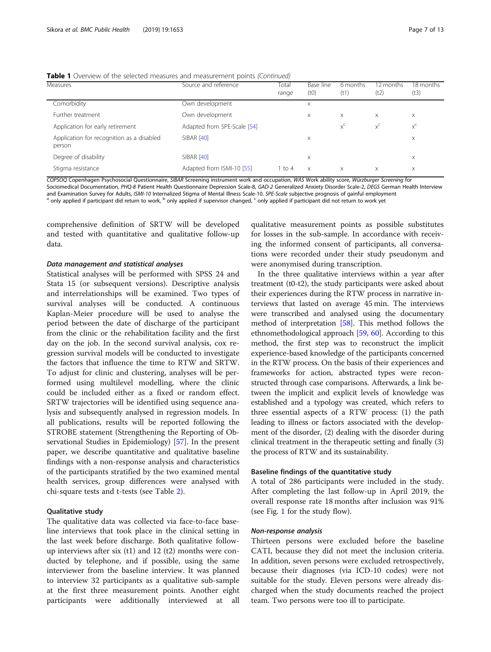|  |  |  | <b>Table 1</b> Overview of the selected measures and measurement points (Continued) |  |
|--|--|--|-------------------------------------------------------------------------------------|--|
|  |  |  |                                                                                     |  |

| <b>Measures</b>                                     | Source and reference        | Total<br>range | Base line<br>(t0) | 6 months<br>(t1) | 12 months<br>(t2) | 18 months<br>(t3) |
|-----------------------------------------------------|-----------------------------|----------------|-------------------|------------------|-------------------|-------------------|
| Comorbidity                                         | Own development             |                | X                 |                  |                   |                   |
| Further treatment                                   | Own development             |                | X                 | $\times$         | X                 | $\times$          |
| Application for early retirement                    | Adapted from SPE-Scale [54] |                |                   | $X^{\mathsf{C}}$ | $x^c$             | $X^C$             |
| Application for recognition as a disabled<br>person | <b>SIBAR [40]</b>           |                | X                 |                  |                   | X                 |
| Degree of disability                                | <b>SIBAR [40]</b>           |                | X                 |                  |                   | X                 |
| Stigma resistance                                   | Adapted from ISMI-10 [55]   | 1 to 4         | $\times$          | X                | X                 | X                 |

COPSOQ Copenhagen Psychosocial Questionnaire, SIBAR Screening instrument work and occupation, WAS Work ability score, Würzburger Screening for Sociomedical Documentation, PHQ-8 Patient Health Questionnaire Depression Scale-8, GAD-2 Generalized Anxiety Disorder Scale-2, DEGS German Health Interview<br>and Examination Survey for Adults. ISMI-10 Internalized Stigma of

a only applied if participant did return to work, <sup>b</sup> only applied if supervisor changed, <sup>c</sup> only applied if participant did not return to work yet

comprehensive definition of SRTW will be developed and tested with quantitative and qualitative follow-up data.

#### Data management and statistical analyses

Statistical analyses will be performed with SPSS 24 and Stata 15 (or subsequent versions). Descriptive analysis and interrelationships will be examined. Two types of survival analyses will be conducted. A continuous Kaplan-Meier procedure will be used to analyse the period between the date of discharge of the participant from the clinic or the rehabilitation facility and the first day on the job. In the second survival analysis, cox regression survival models will be conducted to investigate the factors that influence the time to RTW and SRTW. To adjust for clinic and clustering, analyses will be performed using multilevel modelling, where the clinic could be included either as a fixed or random effect. SRTW trajectories will be identified using sequence analysis and subsequently analysed in regression models. In all publications, results will be reported following the STROBE statement (Strengthening the Reporting of Observational Studies in Epidemiology) [[57](#page-12-0)]. In the present paper, we describe quantitative and qualitative baseline findings with a non-response analysis and characteristics of the participants stratified by the two examined mental health services, group differences were analysed with chi-square tests and t-tests (see Table [2](#page-7-0)).

## Qualitative study

The qualitative data was collected via face-to-face baseline interviews that took place in the clinical setting in the last week before discharge. Both qualitative followup interviews after six  $(t1)$  and 12  $(t2)$  months were conducted by telephone, and if possible, using the same interviewer from the baseline interview. It was planned to interview 32 participants as a qualitative sub-sample at the first three measurement points. Another eight participants were additionally interviewed at all

qualitative measurement points as possible substitutes for losses in the sub-sample. In accordance with receiving the informed consent of participants, all conversations were recorded under their study pseudonym and were anonymised during transcription.

In the three qualitative interviews within a year after treatment (t0-t2), the study participants were asked about their experiences during the RTW process in narrative interviews that lasted on average 45 min. The interviews were transcribed and analysed using the documentary method of interpretation [[58](#page-12-0)]. This method follows the ethnomethodological approach [\[59](#page-12-0), [60\]](#page-12-0). According to this method, the first step was to reconstruct the implicit experience-based knowledge of the participants concerned in the RTW process. On the basis of their experiences and frameworks for action, abstracted types were reconstructed through case comparisons. Afterwards, a link between the implicit and explicit levels of knowledge was established and a typology was created, which refers to three essential aspects of a RTW process: (1) the path leading to illness or factors associated with the development of the disorder, (2) dealing with the disorder during clinical treatment in the therapeutic setting and finally (3) the process of RTW and its sustainability.

## Baseline findings of the quantitative study

A total of 286 participants were included in the study. After completing the last follow-up in April 2019, the overall response rate 18 months after inclusion was 91% (see Fig. [1](#page-3-0) for the study flow).

## Non-response analysis

Thirteen persons were excluded before the baseline CATI, because they did not meet the inclusion criteria. In addition, seven persons were excluded retrospectively, because their diagnoses (via ICD-10 codes) were not suitable for the study. Eleven persons were already discharged when the study documents reached the project team. Two persons were too ill to participate.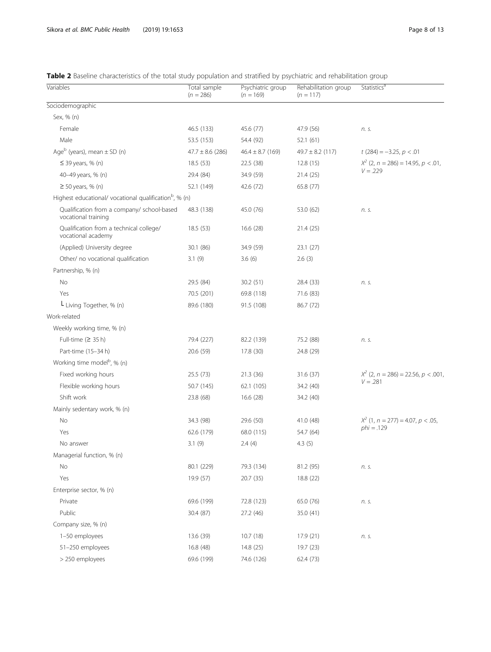<span id="page-7-0"></span>

| Table 2 Baseline characteristics of the total study population and stratified by psychiatric and rehabilitation group |  |  |  |
|-----------------------------------------------------------------------------------------------------------------------|--|--|--|
|-----------------------------------------------------------------------------------------------------------------------|--|--|--|

| Variables                                                          | Total sample<br>$(n = 286)$ | Psychiatric group<br>$(n = 169)$ | Rehabilitation group<br>$(n = 117)$ | Statistics <sup>d</sup>               |
|--------------------------------------------------------------------|-----------------------------|----------------------------------|-------------------------------------|---------------------------------------|
| Sociodemographic                                                   |                             |                                  |                                     |                                       |
| Sex, % (n)                                                         |                             |                                  |                                     |                                       |
| Female                                                             | 46.5 (133)                  | 45.6 (77)                        | 47.9 (56)                           | n. s.                                 |
| Male                                                               | 53.5 (153)                  | 54.4 (92)                        | 52.1(61)                            |                                       |
| Age $^{\rm b}$ (years), mean $\pm$ SD (n)                          | $47.7 \pm 8.6$ (286)        | $46.4 \pm 8.7$ (169)             | $49.7 \pm 8.2$ (117)                | $t(284) = -3.25, p < .01$             |
| $\leq$ 39 years, % (n)                                             | 18.5(53)                    | 22.5 (38)                        | 12.8(15)                            | $X^2$ (2, n = 286) = 14.95, p < .01,  |
| 40-49 years, % (n)                                                 | 29.4 (84)                   | 34.9 (59)                        | 21.4(25)                            | $V = .229$                            |
| $\geq$ 50 years, % (n)                                             | 52.1 (149)                  | 42.6 (72)                        | 65.8 (77)                           |                                       |
| Highest educational/ vocational qualification <sup>b</sup> , % (n) |                             |                                  |                                     |                                       |
| Qualification from a company/ school-based<br>vocational training  | 48.3 (138)                  | 45.0 (76)                        | 53.0 (62)                           | n. s.                                 |
| Qualification from a technical college/<br>vocational academy      | 18.5 (53)                   | 16.6 (28)                        | 21.4 (25)                           |                                       |
| (Applied) University degree                                        | 30.1 (86)                   | 34.9 (59)                        | 23.1(27)                            |                                       |
| Other/ no vocational qualification                                 | 3.1(9)                      | 3.6(6)                           | 2.6(3)                              |                                       |
| Partnership, % (n)                                                 |                             |                                  |                                     |                                       |
| No                                                                 | 29.5 (84)                   | 30.2(51)                         | 28.4 (33)                           | n. s.                                 |
| Yes                                                                | 70.5 (201)                  | 69.8 (118)                       | 71.6 (83)                           |                                       |
| L Living Together, % (n)                                           | 89.6 (180)                  | 91.5 (108)                       | 86.7 (72)                           |                                       |
| Work-related                                                       |                             |                                  |                                     |                                       |
| Weekly working time, % (n)                                         |                             |                                  |                                     |                                       |
| Full-time $(2 35 h)$                                               | 79.4 (227)                  | 82.2 (139)                       | 75.2 (88)                           | n. s.                                 |
| Part-time (15-34 h)                                                | 20.6 (59)                   | 17.8 (30)                        | 24.8 (29)                           |                                       |
| Working time model <sup>b</sup> , % (n)                            |                             |                                  |                                     |                                       |
| Fixed working hours                                                | 25.5 (73)                   | 21.3(36)                         | 31.6(37)                            | $X^2$ (2, n = 286) = 22.56, p < .001, |
| Flexible working hours                                             | 50.7 (145)                  | 62.1 (105)                       | 34.2 (40)                           | $V = .281$                            |
| Shift work                                                         | 23.8 (68)                   | 16.6(28)                         | 34.2 (40)                           |                                       |
| Mainly sedentary work, % (n)                                       |                             |                                  |                                     |                                       |
| No                                                                 | 34.3 (98)                   | 29.6 (50)                        | 41.0 (48)                           | $X^{2}$ (1, n = 277) = 4.07, p < .05, |
| Yes                                                                | 62.6 (179)                  | 68.0 (115)                       | 54.7 (64)                           | $phi = .129$                          |
| No answer                                                          | 3.1(9)                      | 2.4(4)                           | 4.3(5)                              |                                       |
| Managerial function, % (n)                                         |                             |                                  |                                     |                                       |
| No                                                                 | 80.1 (229)                  | 79.3 (134)                       | 81.2 (95)                           | n. s.                                 |
| Yes                                                                | 19.9 (57)                   | 20.7 (35)                        | 18.8 (22)                           |                                       |
| Enterprise sector, % (n)                                           |                             |                                  |                                     |                                       |
| Private                                                            | 69.6 (199)                  | 72.8 (123)                       | 65.0 (76)                           | n. s.                                 |
| Public                                                             | 30.4 (87)                   | 27.2 (46)                        | 35.0 (41)                           |                                       |
| Company size, % (n)                                                |                             |                                  |                                     |                                       |
| 1-50 employees                                                     | 13.6 (39)                   | 10.7(18)                         | 17.9 (21)                           | n. s.                                 |
| 51-250 employees                                                   | 16.8 (48)                   | 14.8 (25)                        | 19.7 (23)                           |                                       |
| > 250 employees                                                    | 69.6 (199)                  | 74.6 (126)                       | 62.4 (73)                           |                                       |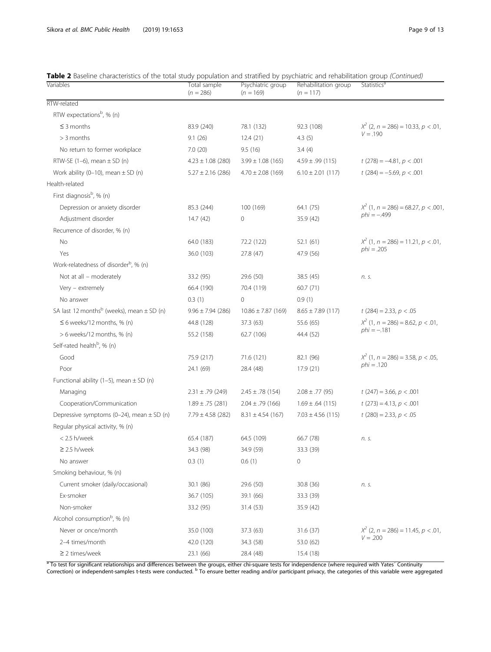# Table 2 Baseline characteristics of the total study population and stratified by psychiatric and rehabilitation group (Continued)

| Variables                                                 | Total sample<br>$(n = 286)$ | Psychiatric group<br>$(n = 169)$ | Rehabilitation group<br>$(n = 117)$ | Statistics <sup>ª</sup>                 |
|-----------------------------------------------------------|-----------------------------|----------------------------------|-------------------------------------|-----------------------------------------|
| RTW-related                                               |                             |                                  |                                     |                                         |
| RTW expectations <sup>b</sup> , % (n)                     |                             |                                  |                                     |                                         |
| $\leq$ 3 months                                           | 83.9 (240)                  | 78.1 (132)                       | 92.3 (108)                          | $X^2$ (2, n = 286) = 10.33, p < .01,    |
| $>$ 3 months                                              | 9.1(26)                     | 12.4(21)                         | 4.3(5)                              | $V = .190$                              |
| No return to former workplace                             | 7.0(20)                     | 9.5(16)                          | 3.4(4)                              |                                         |
| RTW-SE $(1-6)$ , mean $\pm$ SD $(n)$                      | $4.23 \pm 1.08$ (280)       | $3.99 \pm 1.08$ (165)            | $4.59 \pm .99$ (115)                | $t(278) = -4.81, p < .001$              |
| Work ability (0-10), mean $\pm$ SD (n)                    | $5.27 \pm 2.16$ (286)       | $4.70 \pm 2.08$ (169)            | $6.10 \pm 2.01$ (117)               | $t(284) = -5.69, p < .001$              |
| Health-related                                            |                             |                                  |                                     |                                         |
| First diagnosis <sup>b</sup> , % (n)                      |                             |                                  |                                     |                                         |
| Depression or anxiety disorder                            | 85.3 (244)                  | 100 (169)                        | 64.1 (75)                           | $X^{2}$ (1, n = 286) = 68.27, p < .001, |
| Adjustment disorder                                       | 14.7(42)                    | 0                                | 35.9 (42)                           | $phi = -0.499$                          |
| Recurrence of disorder, % (n)                             |                             |                                  |                                     |                                         |
| No                                                        | 64.0 (183)                  | 72.2 (122)                       | 52.1(61)                            | $X^{2}$ (1, n = 286) = 11.21, p < .01,  |
| Yes                                                       | 36.0 (103)                  | 27.8 (47)                        | 47.9 (56)                           | $phi = .205$                            |
| Work-relatedness of disorder <sup>b</sup> , % (n)         |                             |                                  |                                     |                                         |
| Not at all - moderately                                   | 33.2 (95)                   | 29.6 (50)                        | 38.5 (45)                           | n. s.                                   |
| Very - extremely                                          | 66.4 (190)                  | 70.4 (119)                       | 60.7(71)                            |                                         |
| No answer                                                 | 0.3(1)                      | 0                                | 0.9(1)                              |                                         |
| SA last 12 months <sup>b</sup> (weeks), mean $\pm$ SD (n) | $9.96 \pm 7.94$ (286)       | $10.86 \pm 7.87$ (169)           | $8.65 \pm 7.89$ (117)               | $t(284) = 2.33, p < .05$                |
| $\leq$ 6 weeks/12 months, % (n)                           | 44.8 (128)                  | 37.3(63)                         | 55.6 (65)                           | $X^{2}$ (1, n = 286) = 8.62, p < .01,   |
| > 6 weeks/12 months, % (n)                                | 55.2 (158)                  | 62.7 (106)                       | 44.4 (52)                           | $phi = -.181$                           |
| Self-rated health <sup>b</sup> , % (n)                    |                             |                                  |                                     |                                         |
| Good                                                      | 75.9 (217)                  | 71.6 (121)                       | 82.1 (96)                           | $X^2$ (1, n = 286) = 3.58, p < .05,     |
| Poor                                                      | 24.1 (69)                   | 28.4 (48)                        | 17.9(21)                            | $phi = .120$                            |
| Functional ability (1-5), mean $\pm$ SD (n)               |                             |                                  |                                     |                                         |
| Managing                                                  | $2.31 \pm .79$ (249)        | $2.45 \pm .78$ (154)             | $2.08 \pm .77$ (95)                 | $t(247) = 3.66, p < .001$               |
| Cooperation/Communication                                 | $1.89 \pm .75$ (281)        | $2.04 \pm .79$ (166)             | $1.69 \pm .64$ (115)                | $t(273) = 4.13, p < .001$               |
| Depressive symptoms (0-24), mean $\pm$ SD (n)             | $7.79 \pm 4.58$ (282)       | $8.31 \pm 4.54$ (167)            | $7.03 \pm 4.56$ (115)               | $t(280) = 2.33, p < .05$                |
| Regular physical activity, % (n)                          |                             |                                  |                                     |                                         |
| $< 2.5$ h/week                                            | 65.4 (187)                  | 64.5 (109)                       | 66.7 (78)                           | n. s.                                   |
| $\geq$ 2.5 h/week                                         | 34.3 (98)                   | 34.9 (59)                        | 33.3 (39)                           |                                         |
| No answer                                                 | 0.3(1)                      | 0.6(1)                           | 0                                   |                                         |
| Smoking behaviour, % (n)                                  |                             |                                  |                                     |                                         |
| Current smoker (daily/occasional)                         | 30.1 (86)                   | 29.6 (50)                        | 30.8 (36)                           | n. s.                                   |
| Ex-smoker                                                 | 36.7 (105)                  | 39.1 (66)                        | 33.3 (39)                           |                                         |
| Non-smoker                                                | 33.2 (95)                   | 31.4 (53)                        | 35.9 (42)                           |                                         |
| Alcohol consumption <sup>b</sup> , % (n)                  |                             |                                  |                                     |                                         |
| Never or once/month                                       | 35.0 (100)                  | 37.3 (63)                        | 31.6 (37)                           | $X^2$ (2, n = 286) = 11.45, p < .01,    |
| 2-4 times/month                                           | 42.0 (120)                  | 34.3 (58)                        | 53.0 (62)                           | $V = .200$                              |
| $\geq$ 2 times/week                                       | 23.1 (66)                   | 28.4 (48)                        | 15.4 (18)                           |                                         |

<sup>a</sup> To test for significant relationships and differences between the groups, either chi-square tests for independence (where required with Yates' Continuity Correction) or independent-samples t-tests were conducted. <sup>b</sup> To ensure better reading and/or participant privacy, the categories of this variable were aggregated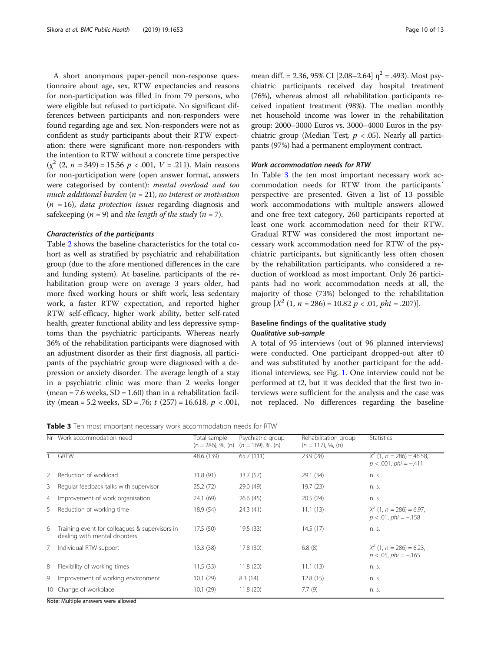A short anonymous paper-pencil non-response questionnaire about age, sex, RTW expectancies and reasons for non-participation was filled in from 79 persons, who were eligible but refused to participate. No significant differences between participants and non-responders were found regarding age and sex. Non-responders were not as confident as study participants about their RTW expectation: there were significant more non-responders with the intention to RTW without a concrete time perspective  $(\chi^2 (2, n = 349) = 15.56 p < .001, V = .211)$ . Main reasons for non-participation were (open answer format, answers were categorised by content): mental overload and too much additional burden  $(n = 21)$ , no interest or motivation  $(n = 16)$ , *data protection issues* regarding diagnosis and safekeeping  $(n = 9)$  and the length of the study  $(n = 7)$ .

#### Characteristics of the participants

Table [2](#page-7-0) shows the baseline characteristics for the total cohort as well as stratified by psychiatric and rehabilitation group (due to the afore mentioned differences in the care and funding system). At baseline, participants of the rehabilitation group were on average 3 years older, had more fixed working hours or shift work, less sedentary work, a faster RTW expectation, and reported higher RTW self-efficacy, higher work ability, better self-rated health, greater functional ability and less depressive symptoms than the psychiatric participants. Whereas nearly 36% of the rehabilitation participants were diagnosed with an adjustment disorder as their first diagnosis, all participants of the psychiatric group were diagnosed with a depression or anxiety disorder. The average length of a stay in a psychiatric clinic was more than 2 weeks longer (mean = 7.6 weeks,  $SD = 1.60$ ) than in a rehabilitation facility (mean = 5.2 weeks, SD = .76;  $t$  (257) = 16.618,  $p < .001$ , mean diff. = 2.36, 95% CI [2.08–2.64]  $\eta^2$  = .493). Most psychiatric participants received day hospital treatment (76%), whereas almost all rehabilitation participants received inpatient treatment (98%). The median monthly net household income was lower in the rehabilitation group: 2000–3000 Euros vs. 3000–4000 Euros in the psychiatric group (Median Test,  $p < .05$ ). Nearly all participants (97%) had a permanent employment contract.

## Work accommodation needs for RTW

In Table 3 the ten most important necessary work accommodation needs for RTW from the participants´ perspective are presented. Given a list of 13 possible work accommodations with multiple answers allowed and one free text category, 260 participants reported at least one work accommodation need for their RTW. Gradual RTW was considered the most important necessary work accommodation need for RTW of the psychiatric participants, but significantly less often chosen by the rehabilitation participants, who considered a reduction of workload as most important. Only 26 participants had no work accommodation needs at all, the majority of those (73%) belonged to the rehabilitation group  $[X^2 (1, n = 286) = 10.82 p < .01, phi = .207]$ .

# Baseline findings of the qualitative study Qualitative sub-sample

A total of 95 interviews (out of 96 planned interviews) were conducted. One participant dropped-out after t0 and was substituted by another participant for the additional interviews, see Fig. [1](#page-3-0). One interview could not be performed at t2, but it was decided that the first two interviews were sufficient for the analysis and the case was not replaced. No differences regarding the baseline

Table 3 Ten most important necessary work accommodation needs for RTW

| Nr | Work accommodation need                                                         | Total sample<br>$(n = 286)$ , %, $(n)$ | Psychiatric group<br>$(n = 169)$ , %, (n) | Rehabilitation group<br>$(n = 117)$ , %, (n) | <b>Statistics</b>                                         |  |  |  |  |
|----|---------------------------------------------------------------------------------|----------------------------------------|-------------------------------------------|----------------------------------------------|-----------------------------------------------------------|--|--|--|--|
|    | <b>GRTW</b>                                                                     | 48.6 (139)                             | 65.7 (111)                                | 23.9(28)                                     | $X^2$ (1, n = 286) = 46.58,<br>$p < .001$ , $phi = -.411$ |  |  |  |  |
| 2  | Reduction of workload                                                           | 31.8 (91)                              | 33.7 (57)                                 | 29.1 (34)                                    | n. s.                                                     |  |  |  |  |
| 3  | Regular feedback talks with supervisor                                          | 25.2 (72)                              | 29.0 (49)                                 | 19.7(23)                                     | n. s.                                                     |  |  |  |  |
| 4  | Improvement of work organisation                                                | 24.1 (69)                              | 26.6(45)                                  | 20.5(24)                                     | n. s.                                                     |  |  |  |  |
| 5. | Reduction of working time                                                       | 18.9 (54)                              | 24.3 (41)                                 | 11.1(13)                                     | $X^2$ (1, n = 286) = 6.97.<br>$p < .01$ , $phi = -.158$   |  |  |  |  |
| 6  | Training event for colleagues & supervisors in<br>dealing with mental disorders | 17.5(50)                               | 19.5 (33)                                 | 14.5(17)                                     | n. s.                                                     |  |  |  |  |
| 7  | Individual RTW-support                                                          | 13.3(38)                               | 17.8(30)                                  | 6.8(8)                                       | $X^2$ (1, n = 286) = 6.23,<br>$p < .05$ , phi = $-.165$   |  |  |  |  |
| 8  | Flexibility of working times                                                    | 11.5(33)                               | 11.8(20)                                  | 11.1(13)                                     | n. s.                                                     |  |  |  |  |
| 9  | Improvement of working environment                                              | 10.1(29)                               | 8.3(14)                                   | 12.8(15)                                     | n. s.                                                     |  |  |  |  |
|    | 10 Change of workplace                                                          | 10.1(29)                               | 11.8(20)                                  | 7.7(9)                                       | n. s.                                                     |  |  |  |  |
|    | Note: Multiple answers were allowed                                             |                                        |                                           |                                              |                                                           |  |  |  |  |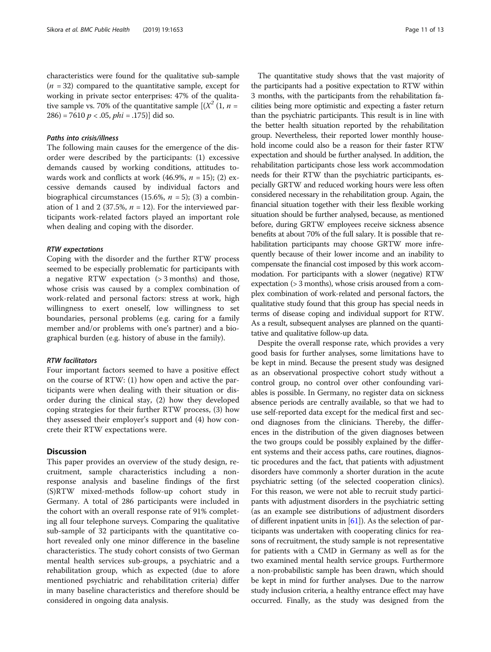characteristics were found for the qualitative sub-sample  $(n = 32)$  compared to the quantitative sample, except for working in private sector enterprises: 47% of the qualitative sample vs. 70% of the quantitative sample  $\left[\left(X^2(1, n = \right)\right]$  $286$ ) = 7610  $p < .05$ ,  $phi = .175$ ) did so.

#### Paths into crisis/illness

The following main causes for the emergence of the disorder were described by the participants: (1) excessive demands caused by working conditions, attitudes towards work and conflicts at work (46.9%,  $n = 15$ ); (2) excessive demands caused by individual factors and biographical circumstances (15.6%,  $n = 5$ ); (3) a combination of 1 and 2 (37.5%,  $n = 12$ ). For the interviewed participants work-related factors played an important role when dealing and coping with the disorder.

#### RTW expectations

Coping with the disorder and the further RTW process seemed to be especially problematic for participants with a negative RTW expectation (> 3 months) and those, whose crisis was caused by a complex combination of work-related and personal factors: stress at work, high willingness to exert oneself, low willingness to set boundaries, personal problems (e.g. caring for a family member and/or problems with one's partner) and a biographical burden (e.g. history of abuse in the family).

#### RTW facilitators

Four important factors seemed to have a positive effect on the course of RTW: (1) how open and active the participants were when dealing with their situation or disorder during the clinical stay, (2) how they developed coping strategies for their further RTW process, (3) how they assessed their employer's support and (4) how concrete their RTW expectations were.

### **Discussion**

This paper provides an overview of the study design, recruitment, sample characteristics including a nonresponse analysis and baseline findings of the first (S)RTW mixed-methods follow-up cohort study in Germany. A total of 286 participants were included in the cohort with an overall response rate of 91% completing all four telephone surveys. Comparing the qualitative sub-sample of 32 participants with the quantitative cohort revealed only one minor difference in the baseline characteristics. The study cohort consists of two German mental health services sub-groups, a psychiatric and a rehabilitation group, which as expected (due to afore mentioned psychiatric and rehabilitation criteria) differ in many baseline characteristics and therefore should be considered in ongoing data analysis.

The quantitative study shows that the vast majority of the participants had a positive expectation to RTW within 3 months, with the participants from the rehabilitation facilities being more optimistic and expecting a faster return than the psychiatric participants. This result is in line with the better health situation reported by the rehabilitation group. Nevertheless, their reported lower monthly household income could also be a reason for their faster RTW expectation and should be further analysed. In addition, the rehabilitation participants chose less work accommodation needs for their RTW than the psychiatric participants, especially GRTW and reduced working hours were less often considered necessary in the rehabilitation group. Again, the financial situation together with their less flexible working situation should be further analysed, because, as mentioned before, during GRTW employees receive sickness absence benefits at about 70% of the full salary. It is possible that rehabilitation participants may choose GRTW more infrequently because of their lower income and an inability to compensate the financial cost imposed by this work accommodation. For participants with a slower (negative) RTW expectation (> 3 months), whose crisis aroused from a complex combination of work-related and personal factors, the qualitative study found that this group has special needs in terms of disease coping and individual support for RTW. As a result, subsequent analyses are planned on the quantitative and qualitative follow-up data.

Despite the overall response rate, which provides a very good basis for further analyses, some limitations have to be kept in mind. Because the present study was designed as an observational prospective cohort study without a control group, no control over other confounding variables is possible. In Germany, no register data on sickness absence periods are centrally available, so that we had to use self-reported data except for the medical first and second diagnoses from the clinicians. Thereby, the differences in the distribution of the given diagnoses between the two groups could be possibly explained by the different systems and their access paths, care routines, diagnostic procedures and the fact, that patients with adjustment disorders have commonly a shorter duration in the acute psychiatric setting (of the selected cooperation clinics). For this reason, we were not able to recruit study participants with adjustment disorders in the psychiatric setting (as an example see distributions of adjustment disorders of different inpatient units in  $[61]$ ). As the selection of participants was undertaken with cooperating clinics for reasons of recruitment, the study sample is not representative for patients with a CMD in Germany as well as for the two examined mental health service groups. Furthermore a non-probabilistic sample has been drawn, which should be kept in mind for further analyses. Due to the narrow study inclusion criteria, a healthy entrance effect may have occurred. Finally, as the study was designed from the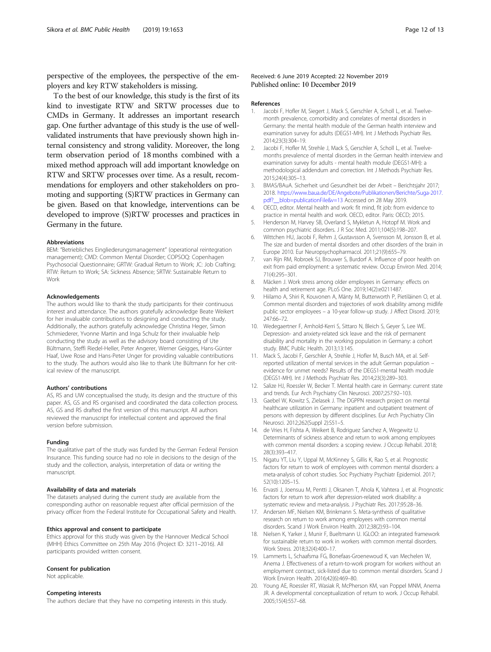<span id="page-11-0"></span>perspective of the employees, the perspective of the employers and key RTW stakeholders is missing.

To the best of our knowledge, this study is the first of its kind to investigate RTW and SRTW processes due to CMDs in Germany. It addresses an important research gap. One further advantage of this study is the use of wellvalidated instruments that have previously shown high internal consistency and strong validity. Moreover, the long term observation period of 18 months combined with a mixed method approach will add important knowledge on RTW and SRTW processes over time. As a result, recommendations for employers and other stakeholders on promoting and supporting (S)RTW practices in Germany can be given. Based on that knowledge, interventions can be developed to improve (S)RTW processes and practices in Germany in the future.

#### Abbreviations

BEM: "Betriebliches Eingliederungsmanagement" (operational reintegration management); CMD: Common Mental Disorder; COPSOQ: Copenhagen Psychosocial Questionnaire; GRTW: Gradual Return to Work; JC: Job Crafting; RTW: Return to Work; SA: Sickness Absence; SRTW: Sustainable Return to Work

#### Acknowledgements

The authors would like to thank the study participants for their continuous interest and attendance. The authors gratefully acknowledge Beate Weikert for her invaluable contributions to designing and conducting the study. Additionally, the authors gratefully acknowledge Christina Heger, Simon Schmiederer, Yvonne Martin and Inga Schulz for their invaluable help conducting the study as well as the advisory board consisting of Ute Bültmann, Steffi Riedel-Heller, Peter Angerer, Werner Geigges, Hans-Günter Haaf, Uwe Rose and Hans-Peter Unger for providing valuable contributions to the study. The authors would also like to thank Ute Bültmann for her critical review of the manuscript.

#### Authors' contributions

AS, RS and UW conceptualised the study, its design and the structure of this paper. AS, GS and RS organised and coordinated the data collection process. AS, GS and RS drafted the first version of this manuscript. All authors reviewed the manuscript for intellectual content and approved the final version before submission.

#### Funding

The qualitative part of the study was funded by the German Federal Pension Insurance. This funding source had no role in decisions to the design of the study and the collection, analysis, interpretation of data or writing the manuscript.

#### Availability of data and materials

The datasets analysed during the current study are available from the corresponding author on reasonable request after official permission of the privacy officer from the Federal Institute for Occupational Safety and Health.

#### Ethics approval and consent to participate

Ethics approval for this study was given by the Hannover Medical School (MHH) Ethics Committee on 25th May 2016 (Project ID: 3211–2016). All participants provided written consent.

#### Consent for publication

Not applicable.

#### Competing interests

The authors declare that they have no competing interests in this study.

### Received: 6 June 2019 Accepted: 22 November 2019 Published online: 10 December 2019

#### References

- 1. Jacobi F, Hofler M, Siegert J, Mack S, Gerschler A, Scholl L, et al. Twelvemonth prevalence, comorbidity and correlates of mental disorders in Germany: the mental health module of the German health interview and examination survey for adults (DEGS1-MH). Int J Methods Psychiatr Res. 2014;23(3):304–19.
- 2. Jacobi F, Hofler M, Strehle J, Mack S, Gerschler A, Scholl L, et al. Twelvemonths prevalence of mental disorders in the German health interview and examination survey for adults - mental health module (DEGS1-MH): a methodological addendum and correction. Int J Methods Psychiatr Res. 2015;24(4):305–13.
- 3. BMAS/BAuA. Sicherheit und Gesundheit bei der Arbeit Berichtsjahr 2017; 2018. [https://www.baua.de/DE/Angebote/Publikationen/Berichte/Suga-2017.](https://www.baua.de/DE/Angebote/Publikationen/Berichte/Suga-2017.pdf?__blob=publicationFile&v=13) pdf? blob=publicationFile&v=13 Accessed on 28 May 2019.
- 4. OECD, editor. Mental health and work: fit mind, fit job: from evidence to practice in mental health and work. OECD, editor. Paris: OECD; 2015.
- 5. Henderson M, Harvey SB, Overland S, Mykletun A, Hotopf M. Work and common psychiatric disorders. J R Soc Med. 2011;104(5):198–207.
- 6. Wittchen HU, Jacobi F, Rehm J, Gustavsson A, Svensson M, Jonsson B, et al. The size and burden of mental disorders and other disorders of the brain in Europe 2010. Eur Neuropsychopharmacol. 2011;21(9):655–79.
- 7. van Rijn RM, Robroek SJ, Brouwer S, Burdorf A. Influence of poor health on exit from paid employment: a systematic review. Occup Environ Med. 2014; 71(4):295–301.
- 8. Mäcken J. Work stress among older employees in Germany: effects on health and retirement age. PLoS One. 2019;14(2):e0211487.
- 9. Hiilamo A, Shiri R, Kouvonen A, Mänty M, Butterworth P, Pietiläinen O, et al. Common mental disorders and trajectories of work disability among midlife public sector employees – a 10-year follow-up study. J Affect Disord. 2019; 247:66–72.
- 10. Wedegaertner F, Arnhold-Kerri S, Sittaro N, Bleich S, Geyer S, Lee WE. Depression- and anxiety-related sick leave and the risk of permanent disability and mortality in the working population in Germany: a cohort study. BMC Public Health. 2013;13:145.
- 11. Mack S, Jacobi F, Gerschler A, Strehle J, Hofler M, Busch MA, et al. Selfreported utilization of mental services in the adult German population – evidence for unmet needs? Results of the DEGS1-mental health module (DEGS1-MH). Int J Methods Psychiatr Res. 2014;23(3):289–303.
- 12. Salize HJ, Roessler W, Becker T. Mental health care in Germany: current state and trends. Eur Arch Psychiatry Clin Neurosci. 2007;257:92–103.
- 13. Gaebel W, Kowitz S, Zielasek J. The DGPPN research project on mental healthcare utilization in Germany: inpatient and outpatient treatment of persons with depression by different disciplines. Eur Arch Psychiatry Clin Neurosci. 2012;262(Suppl 2):S51–5.
- 14. de Vries H, Fishta A, Weikert B, Rodriguez Sanchez A, Wegewitz U. Determinants of sickness absence and return to work among employees with common mental disorders: a scoping review. J Occup Rehabil. 2018; 28(3):393–417.
- 15. Nigatu YT, Liu Y, Uppal M, McKinney S, Gillis K, Rao S, et al. Prognostic factors for return to work of employees with common mental disorders: a meta-analysis of cohort studies. Soc Psychiatry Psychiatr Epidemiol. 2017; 52(10):1205–15.
- 16. Ervasti J, Joensuu M, Pentti J, Oksanen T, Ahola K, Vahtera J, et al. Prognostic factors for return to work after depression-related work disability: a systematic review and meta-analysis. J Psychiatr Res. 2017;95:28–36.
- 17. Andersen MF, Nielsen KM, Brinkmann S. Meta-synthesis of qualitative research on return to work among employees with common mental disorders. Scand J Work Environ Health. 2012;38(2):93–104.
- 18. Nielsen K, Yarker J, Munir F, Bueltmann U. IGLOO: an integrated framework for sustainable return to work in workers with common mental disorders. Work Stress. 2018;32(4):400–17.
- 19. Lammerts L, Schaafsma FG, Bonefaas-Groenewoud K, van Mechelen W, Anema J. Effectiveness of a return-to-work program for workers without an employment contract, sick-listed due to common mental disorders. Scand J Work Environ Health. 2016;42(6):469–80.
- 20. Young AE, Roessler RT, Wasiak R, McPherson KM, van Poppel MNM, Anema JR. A developmental conceptualization of return to work. J Occup Rehabil. 2005;15(4):557–68.